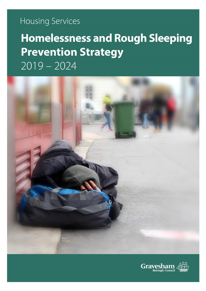# **Housing Services**

# **Homelessness and Rough Sleeping Prevention Strategy**  $2019 - 2024$



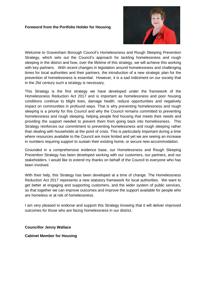#### **Foreword from the Portfolio Holder for Housing**



Welcome to Gravesham Borough Council's Homelessness and Rough Sleeping Prevention Strategy, which sets out the Council's approach for tackling homelessness and rough sleeping in the district and how, over the lifetime of this strategy, we will achieve this working with key partners. With recent changes in legislation around homelessness and challenging times for local authorities and their partners, the introduction of a new strategic plan for the prevention of homelessness is essential. However, it is a sad indictment on our society that in the 2lst century such a strategy is necessary.

This Strategy is the first strategy we have developed under the framework of the Homelessness Reduction Act 2017 and is important as homelessness and poor housing conditions continue to blight lives, damage health, reduce opportunities and negatively impact on communities in profound ways. That is why preventing homelessness and rough sleeping is a priority for this Council and why the Council remains committed to preventing homelessness and rough sleeping, helping people find housing that meets their needs and providing the support needed to prevent them from going back into homelessness. This Strategy reinforces our commitment to preventing homelessness and rough sleeping rather than dealing with households at the point of crisis. This is particularly important during a time where resources available to the Council are more limited and yet we are seeing an increase in numbers requiring support to sustain their existing home, or secure new accommodation.

Grounded in a comprehensive evidence base, our Homelessness and Rough Sleeping Prevention Strategy has been developed working with our customers, our partners, and our stakeholders. I would like to extend my thanks on behalf of the Council to everyone who has been involved.

With their help, this Strategy has been developed at a time of change. The Homelessness Reduction Act 2017 represents a new statutory framework for local authorities. We want to get better at engaging and supporting customers, and the wider system of public services, so that together we can improve outcomes and improve the support available for people who are homeless or at risk of homelessness.

I am very pleased to endorse and support this Strategy knowing that it will deliver improved outcomes for those who are facing homelessness in our district.

**Councillor Jenny Wallace**

**Cabinet Member for Housing**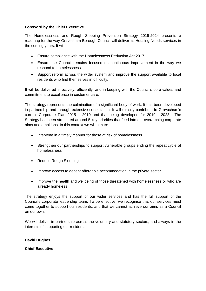#### **Foreword by the Chief Executive**

The Homelessness and Rough Sleeping Prevention Strategy 2019-2024 presents a roadmap for the way Gravesham Borough Council will deliver its Housing Needs services in the coming years. It will:

- Ensure compliance with the Homelessness Reduction Act 2017.
- Ensure the Council remains focused on continuous improvement in the way we respond to homelessness.
- Support reform across the wider system and improve the support available to local residents who find themselves in difficulty.

It will be delivered effectively, efficiently, and in keeping with the Council's core values and commitment to excellence in customer care.

The strategy represents the culmination of a significant body of work. It has been developed in partnership and through extensive consultation. It will directly contribute to Gravesham's current Corporate Plan 2015 – 2019 and that being developed for 2019 - 2023. The Strategy has been structured around 5 key priorities that feed into our overarching corporate aims and ambitions. In this context we will aim to:

- Intervene in a timely manner for those at risk of homelessness
- Strengthen our partnerships to support vulnerable groups ending the repeat cycle of homelessness
- Reduce Rough Sleeping
- Improve access to decent affordable accommodation in the private sector
- Improve the health and wellbeing of those threatened with homelessness or who are already homeless

The strategy enjoys the support of our wider services and has the full support of the Council's corporate leadership team. To be effective, we recognise that our services must come together to support our residents, and that we cannot achieve our aims as a Council on our own.

We will deliver in partnership across the voluntary and statutory sectors, and always in the interests of supporting our residents.

**David Hughes** 

**Chief Executive**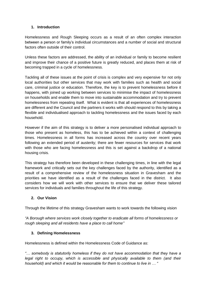# **1. Introduction**

Homelessness and Rough Sleeping occurs as a result of an often complex interaction between a person or family's individual circumstances and a number of social and structural factors often outside of their control.

Unless these factors are addressed, the ability of an individual or family to become resilient and improve their chance of a positive future is greatly reduced, and places them at risk of becoming trapped in a cycle of homelessness.

Tackling all of these issues at the point of crisis is complex and very expensive for not only local authorities but other services that may work with families such as health and social care, criminal justice or education. Therefore, the key is to prevent homelessness before it happens, with joined up working between services to minimise the impact of homelessness on households and enable them to move into sustainable accommodation and try to prevent homelessness from repeating itself. What is evident is that all experiences of homelessness are different and the Council and the partners it works with should respond to this by taking a flexible and individualised approach to tackling homelessness and the issues faced by each household.

However if the aim of this strategy is to deliver a more personalised individual approach to those who present as homeless, this has to be achieved within a context of challenging times. Homelessness in all forms has increased across the country over recent years following an extended period of austerity; there are fewer resources for services that work with those who are facing homelessness and this is set against a backdrop of a national housing crisis.

This strategy has therefore been developed in these challenging times, in line with the legal framework and critically sets out the key challenges faced by the authority, identified as a result of a comprehensive review of the homelessness situation in Gravesham and the priorities we have identified as a result of the challenges faced in the district. It also considers how we will work with other services to ensure that we deliver these tailored services for individuals and families throughout the life of this strategy.

# **2. Our Vision**

Through the lifetime of this strategy Gravesham wants to work towards the following vision

*"A Borough where services work closely together to eradicate all forms of homelessness or rough sleeping and all residents have a place to call home"*

# **3. Defining Homelessness**

Homelessness is defined within the Homelessness Code of Guidance as:

*"… somebody is statutorily homeless if they do not have accommodation that they have a legal right to occupy, which is accessible and physically available to them (and their household) and which it would be reasonable for them to continue to live in … "*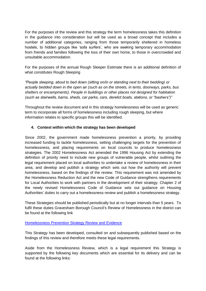For the purposes of the review and this strategy the term homelessness takes this definition in the guidance into consideration but will be used as a broad concept that includes a number of additional categories, ranging from those temporarily sheltered in homeless hostels, to hidden groups like 'sofa surfers', who are seeking temporary accommodation from friends and families following the loss of their own home, to those in overcrowded and unsuitable accommodation.

For the purposes of the annual Rough Sleeper Estimate there is an additional definition of what constitutes Rough Sleeping

*"People sleeping, about to bed down (sitting on/in or standing next to their bedding) or actually bedded down in the open air (such as on the streets, in tents, doorways, parks, bus shelters or encampments). People in buildings or other places not designed for habitation (such as stairwells, barns, sheds, car parks, cars, derelict boats, stations, or "bashers")"*

Throughout the review document and in this strategy homelessness will be used as generic term to incorporate all forms of homelessness including rough sleeping, but where information relates to specific groups this will be identified.

# **4. Context within which the strategy has been developed**

Since 2002, the government made homelessness prevention a priority, by providing increased funding to tackle homelessness, setting challenging targets for the prevention of homelessness, and placing requirements on local councils to produce homelessness strategies. The 2002 Homelessness Act amended the 1996 Housing Act by extending the definition of priority need to include new groups of vulnerable people, whilst outlining the legal requirement placed on local authorities to undertake a review of homelessness in their area, and develop and publish a strategy which sets out how the authority will prevent homelessness, based on the findings of the review. This requirement was not amended by the Homelessness Reduction Act and the new Code of Guidance strengthens requirements for Local Authorities to work with partners in the development of their strategy. Chapter 2 of the newly revised Homelessness Code of Guidance sets out guidance on Housing Authorities' duties to carry out a homelessness review and publish a homelessness strategy.

These Strategies should be published periodically but at no longer intervals than 5 years. To fulfil these duties Gravesham Borough Council's Review of Homelessness in the district can be found at the following link

# [Homelessness Prevention Strategy Review and Evidence](https://www.gravesham.gov.uk/__data/assets/pdf_file/0008/817136/Homelessness-Prevention-Strategy-Review-and-Evidence-Final.pdf)

This Strategy has been developed, consulted on and subsequently published based on the findings of this review and therefore meets these legal requirements.

Aside from the Homelessness Review, which is a legal requirement this Strategy is supported by the following key documents which are essential for its delivery and can be found at the following links: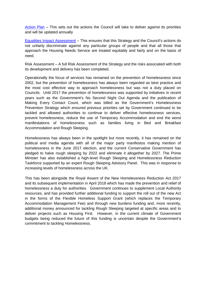[Action Plan](https://www.gravesham.gov.uk/__data/assets/pdf_file/0020/817130/Action-Plan-2.pdf) – This sets out the actions the Council will take to deliver against its priorities and will be updated annually

[Equalities Impact Assessment](https://www.gravesham.gov.uk/__data/assets/pdf_file/0003/817131/EIA-Homelessness-Rough-Sleeping-Prevention-Strategy.pdf) – This ensures that this Strategy and the Council's actions do not unfairly discriminate against any particular groups of people and that all those that approach the Housing Needs Service are treated equitably and fairly and on the basis of need.

Risk Assessment – A full Risk Assessment of the Strategy and the risks associated with both its development and delivery has been completed.

Operationally the focus of services has remained on the prevention of homelessness since 2002, but the prevention of homelessness has always been regarded as best practice and the most cost effective way to approach homelessness but was not a duty placed on Councils. Until 2017 the prevention of homelessness was supported by initiatives in recent years such as the Government's No Second Night Out Agenda and the publication of Making Every Contact Count, which was billed as the Government's Homelessness Prevention Strategy which ensured previous priorities set by Government continued to be tackled and allowed authorities to continue to deliver effective homelessness services, prevent homelessness, reduce the use of Temporary Accommodation and end the worst manifestations of homelessness such as families living in Bed and Breakfast Accommodation and Rough Sleeping.

Homelessness has always been in the spotlight but more recently, it has remained on the political and media agenda with all of the major party manifestos making mention of homelessness in the June 2017 election, and the current Conservative Government has pledged to halve rough sleeping by 2022 and eliminate it altogether by 2027. The Prime Minister has also established a high-level Rough Sleeping and Homelessness Reduction Taskforce supported by an expert Rough Sleeping Advisory Panel. This was in response to increasing levels of homelessness across the UK.

This has been alongside the Royal Assent of the New Homelessness Reduction Act 2017 and its subsequent implementation in April 2018 which has made the prevention and relief of homelessness a duty for authorities. Government continues to supplement Local Authority resources, and has provided further additional funding to support the roll out of the new Act in the forms of the Flexible Homeless Support Grant (which replaces the Temporary Accommodation Management Fee) and through new burdens funding and, more recently, additional money announced for tackling Rough Sleeping targeted at specific areas and to deliver projects such as Housing First. However, in the current climate of Government budgets being reduced the future of this funding is uncertain despite the Government's commitment to tackling Homelessness.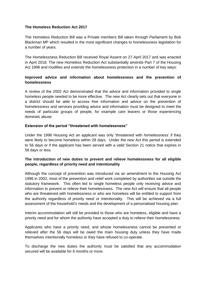#### **The Homeless Reduction Act 2017**

The Homeless Reduction Bill was a Private members Bill taken through Parliament by Bob Blackman MP which resulted in the most significant changes to homelessness legislation for a number of years.

The Homelessness Reduction Bill received Royal Assent on 27 April 2017 and was enacted in April 2018. The new Homeless Reduction Act substantially amends Part 7 of the Housing Act 1996 and modifies and extends the homelessness protection in a number of key ways:

# **Improved advice and information about homelessness and the prevention of homelessness**

A review of the 2002 Act demonstrated that the advice and information provided to single homeless people needed to be more effective. The new Act clearly sets out that everyone in a district should be able to access free information and advice on the prevention of homelessness and services providing advice and information must be designed to meet the needs of particular groups of people, for example care leavers or those experiencing domestic abuse.

#### **Extension of the period "threatened with homelessness"**

Under the 1996 Housing Act an applicant was only 'threatened with homelessness' if they were likely to become homeless within 28 days. Under the new Act this period is extended to 56 days or if the applicant has been served with a valid Section 21 notice that expires in 56 days or less.

# **The introduction of new duties to prevent and relieve homelessness for all eligible people, regardless of priority need and intentionality**

Although the concept of prevention was introduced via an amendment to the Housing Act 1996 in 2002, most of the prevention and relief work completed by authorities sat outside the statutory framework. This often led to single homeless people only receiving advice and information to prevent or relieve their homelessness. The new Act will ensure that all people who are threatened with homelessness or who are homeless will be entitled to support from the authority regardless of priority need or intentionality. This will be achieved via a full assessment of the household's needs and the development of a personalised housing plan.

Interim accommodation will still be provided to those who are homeless, eligible and have a priority need and for whom the authority have accepted a duty to relieve their homelessness.

Applicants who have a priority need, and whose homelessness cannot be prevented or relieved after the 56 days will be owed the main housing duty unless they have made themselves intentionally homeless or they have refused to co-operate.

To discharge the new duties the authority must be satisfied that any accommodation secured will be available for 6 months or more.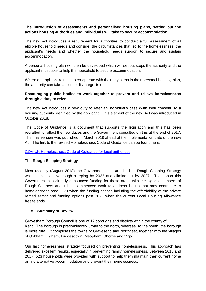# **The introduction of assessments and personalised housing plans, setting out the actions housing authorities and individuals will take to secure accommodation**

The new act introduces a requirement for authorities to conduct a full assessment of all eligible household needs and consider the circumstances that led to the homelessness, the applicant's needs and whether the household needs support to secure and sustain accommodation.

A personal housing plan will then be developed which will set out steps the authority and the applicant must take to help the household to secure accommodation.

Where an applicant refuses to co-operate with their key steps in their personal housing plan, the authority can take action to discharge its duties.

#### **Encouraging public bodies to work together to prevent and relieve homelessness through a duty to refer.**

The new Act introduces a new duty to refer an individual's case (with their consent) to a housing authority identified by the applicant. This element of the new Act was introduced in October 2018.

The Code of Guidance is a document that supports the legislation and this has been redrafted to reflect the new duties and the Government consulted on this at the end of 2017. The final version was published in March 2018 ahead of the implementation date of the new Act. The link to the revised Homelessness Code of Guidance can be found here:

#### [GOV.UK Homelessness Code of Guidance for local authorities](https://www.gov.uk/guidance/homelessness-code-of-guidance-for-local-authorities)

#### **The Rough Sleeping Strategy**

Most recently (August 2018) the Government has launched its Rough Sleeping Strategy which aims to halve rough sleeping by 2022 and eliminate it by 2027. To support this Government has already announced funding for those areas with the highest numbers of Rough Sleepers and it has commenced work to address issues that may contribute to homelessness post 2020 when the funding ceases including the affordability of the private rented sector and funding options post 2020 when the current Local Housing Allowance freeze ends.

#### **5. Summary of Review**

Gravesham Borough Council is one of 12 boroughs and districts within the county of Kent. The borough is predominantly urban to the north, whereas, to the south, the borough is more rural. It comprises the towns of Gravesend and Northfleet, together with the villages of Cobham, Higham, Luddesdown, Meopham, Shorne and Vigo.

Our last homelessness strategy focused on preventing homelessness. This approach has delivered excellent results, especially in preventing family homelessness. Between 2015 and 2017, 523 households were provided with support to help them maintain their current home or find alternative accommodation and prevent their homelessness.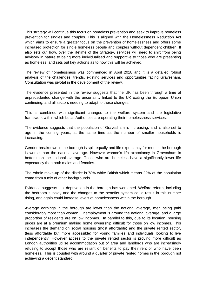This strategy will continue this focus on homeless prevention and seek to improve homeless prevention for singles and couples. This is aligned with the Homelessness Reduction Act which aims to ensure a greater focus on the prevention of homelessness and offers some increased protection for single homeless people and couples without dependent children. It also sets out how, over the lifetime of the Strategy, services will need to shift from being advisory in nature to being more individualised and supportive to those who are presenting as homeless, and sets out key actions as to how this will be achieved.

The review of homelessness was commenced in April 2018 and it is a detailed robust analysis of the challenges, trends, existing services and opportunities facing Gravesham. Consultation was pivotal in the development of the review.

The evidence presented in the review suggests that the UK has been through a time of unprecedented change with the uncertainty linked to the UK exiting the European Union continuing, and all sectors needing to adapt to these changes.

This is combined with significant changes to the welfare system and the legislative framework within which Local Authorities are operating their homelessness services.

The evidence suggests that the population of Gravesham is increasing, and is also set to age in the coming years, at the same time as the number of smaller households is increasing.

Gender breakdown in the borough is split equally and life expectancy for men in the borough is worse than the national average. However women's life expectancy in Gravesham is better than the national average. Those who are homeless have a significantly lower life expectancy than both males and females.

The ethnic make-up of the district is 78% white British which means 22% of the population come from a mix of other backgrounds.

Evidence suggests that deprivation in the borough has worsened. Welfare reform, including the bedroom subsidy and the changes to the benefits system could result in this number rising, and again could increase levels of homelessness within the borough.

Average earnings in the borough are lower than the national average, men being paid considerably more than women. Unemployment is around the national average, and a large proportion of residents are on low incomes. In parallel to this, due to its location, housing prices are at a premium making home ownership difficult for those on low incomes. This increases the demand on social housing (most affordable) and the private rented sector, (less affordable but more accessible) for young families and individuals looking to live independently. However access to the private rented sector is proving more difficult as London authorities utilise accommodation out of area and landlords who are increasingly refusing to accept those who are reliant on benefits to pay their rent or who have been homeless. This is coupled with around a quarter of private rented homes in the borough not achieving a decent standard.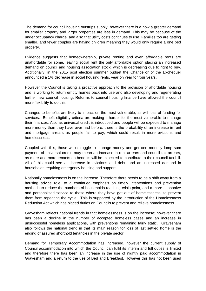The demand for council housing outstrips supply, however there is a now a greater demand for smaller property and larger properties are less in demand. This may be because of the under occupancy charge, and also that utility costs continues to rise. Families too are getting smaller, and fewer couples are having children meaning they would only require a one bed property.

Evidence suggests that homeownership, private renting and even affordable rents are unaffordable for some, leaving social rent the only affordable option placing an increased demand on council and housing association stock, which is decreasing due to right to buy. Additionally, in the 2015 post election summer budget the Chancellor of the Exchequer announced a 1% decrease in social housing rents, year on year for four years.

However the Council is taking a proactive approach to the provision of affordable housing and is working to return empty homes back into use and also developing and regenerating further new council housing. Reforms to council housing finance have allowed the council more flexibility to do this.

Changes to benefits are likely to impact on the most vulnerable, as will loss of funding for services. Benefit eligibility criteria are making it harder for the most vulnerable to manage their finances. Also as universal credit is introduced and people will be expected to manage more money than they have ever had before, there is the probability of an increase in rent and mortgage arrears as people fail to pay, which could result in more evictions and homelessness.

Coupled with this, those who struggle to manage money and get one monthly lump sum payment of universal credit, may mean an increase in rent arrears and council tax arrears, as more and more tenants on benefits will be expected to contribute to their council tax bill. All of this could see an increase in evictions and debt, and an increased demand in households requiring emergency housing and support.

Nationally homelessness is on the increase. Therefore there needs to be a shift away from a housing advice role, to a continued emphasis on timely interventions and prevention methods to reduce the numbers of households reaching crisis point, and a more supportive and personalised service to those where they have got out of homelessness, to prevent them from repeating the cycle. This is supported by the introduction of the Homelessness Reduction Act which has placed duties on Councils to prevent and relieve homelessness.

Gravesham reflects national trends in that homelessness is on the increase; however there has been a decline in the number of accepted homeless cases and an increase in unsuccessful homeless applications, with preventions remaining fairly static. Gravesham also follows the national trend in that its main reason for loss of last settled home is the ending of assured shorthold tenancies in the private sector.

Demand for Temporary Accommodation has increased, however the current supply of Council accommodation into which the Council can fulfil its interim and full duties is limited and therefore there has been an increase in the use of nightly paid accommodation in Gravesham and a return to the use of Bed and Breakfast. However this has not been used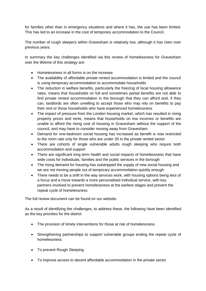for families other than in emergency situations and where it has, the use has been limited. This has led to an increase in the cost of temporary accommodation to the Council.

The number of rough sleepers within Gravesham is relatively low, although it has risen over previous years.

In summary the key challenges identified via this review of homelessness for Gravesham over the lifetime of this strategy are:

- Homelessness in all forms is on the increase
- The availability of affordable private rented accommodation is limited and the council is using temporary accommodation to accommodate households
- The reduction in welfare benefits, particularly the freezing of local housing allowance rates, means that households on full and sometimes partial benefits are not able to find private rented accommodation in the borough that they can afford and, if they can, landlords are often unwilling to accept those who may rely on benefits to pay their rent or those households who have experienced homelessness
- The impact of pressure from the London housing market, which has resulted in rising property prices and rents, means that households on low incomes or benefits are unable to afford the rising cost of housing in Gravesham without the support of the council, and may have to consider moving away from Gravesham
- Demand for one-bedroom social housing has increased as benefit is now restricted to the room rate only for those who are under 35 in the private rented sector
- There are cohorts of single vulnerable adults rough sleeping who require both accommodation and support
- There are significant long term health and social impacts of homelessness that have wide costs for individuals, families and the public services in the borough
- The rising demand for housing has outstripped the supply of new social housing and we are not moving people out of temporary accommodation quickly enough
- There needs to be a shift in the way services work, with housing options being less of a focus and a move towards a more personalised individual service, with key partners involved to prevent homelessness at the earliest stages and prevent the repeat cycle of homelessness

The full review document can be found on our website.

As a result of identifying the challenges, to address these, the following have been identified as the key priorities for the district

- The provision of timely interventions for those at risk of homelessness
- Strengthening partnerships to support vulnerable groups ending the repeat cycle of homelessness
- To prevent Rough Sleeping
- To improve access to decent affordable accommodation in the private sector